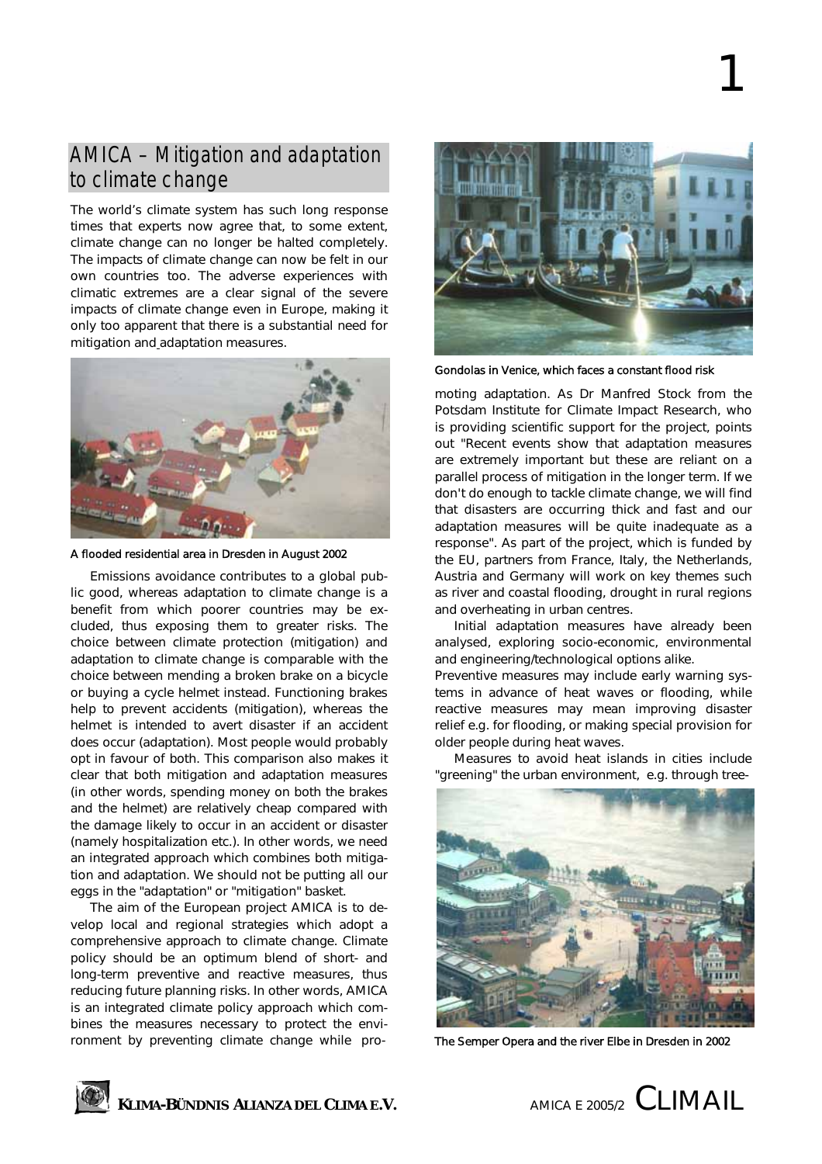# AMICA – Mitigation and adaptation to climate change

The world's climate system has such long response times that experts now agree that, to some extent, climate change can no longer be halted completely. The impacts of climate change can now be felt in our own countries too. The adverse experiences with climatic extremes are a clear signal of the severe impacts of climate change even in Europe, making it only too apparent that there is a substantial need for mitigation and adaptation measures.



A flooded residential area in Dresden in August 2002

Emissions avoidance contributes to a global public good, whereas adaptation to climate change is a benefit from which poorer countries may be excluded, thus exposing them to greater risks. The choice between climate protection (mitigation) and adaptation to climate change is comparable with the choice between mending a broken brake on a bicycle or buying a cycle helmet instead. Functioning brakes help to prevent accidents (mitigation), whereas the helmet is intended to avert disaster if an accident does occur (adaptation). Most people would probably opt in favour of both. This comparison also makes it clear that both mitigation and adaptation measures (in other words, spending money on both the brakes and the helmet) are relatively cheap compared with the damage likely to occur in an accident or disaster (namely hospitalization etc.). In other words, we need an integrated approach which combines both mitigation and adaptation. We should not be putting all our eggs in the "adaptation" or "mitigation" basket.

The aim of the European project AMICA is to develop local and regional strategies which adopt a comprehensive approach to climate change. Climate policy should be an optimum blend of short- and long-term preventive and reactive measures, thus reducing future planning risks. In other words, AMICA is an integrated climate policy approach which combines the measures necessary to protect the environment by preventing climate change while pro-



1

Gondolas in Venice, which faces a constant flood risk

moting adaptation. As Dr Manfred Stock from the Potsdam Institute for Climate Impact Research, who is providing scientific support for the project, points out "Recent events show that adaptation measures are extremely important but these are reliant on a parallel process of mitigation in the longer term. If we don't do enough to tackle climate change, we will find that disasters are occurring thick and fast and our adaptation measures will be quite inadequate as a response". As part of the project, which is funded by the EU, partners from France, Italy, the Netherlands, Austria and Germany will work on key themes such as river and coastal flooding, drought in rural regions and overheating in urban centres.

Initial adaptation measures have already been analysed, exploring socio-economic, environmental and engineering/technological options alike.

Preventive measures may include early warning systems in advance of heat waves or flooding, while reactive measures may mean improving disaster relief e.g. for flooding, or making special provision for older people during heat waves.

Measures to avoid heat islands in cities include "greening" the urban environment, e.g. through tree-



The Semper Opera and the river Elbe in Dresden in 2002



**KLIMA-BÜNDNIS ALIANZA DEL CLIMA E.V.** AMICA E 2005/2 CLIMAIL